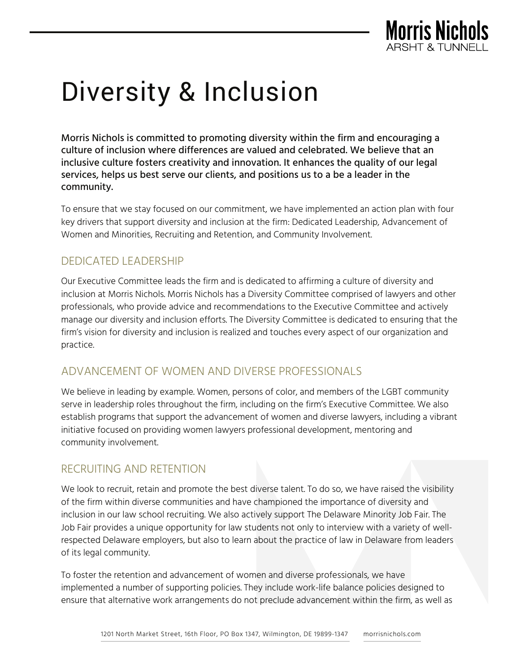

# Diversity & Inclusion

Morris Nichols is committed to promoting diversity within the firm and encouraging a culture of inclusion where differences are valued and celebrated. We believe that an inclusive culture fosters creativity and innovation. It enhances the quality of our legal services, helps us best serve our clients, and positions us to a be a leader in the community.

To ensure that we stay focused on our commitment, we have implemented an action plan with four key drivers that support diversity and inclusion at the firm: Dedicated Leadership, Advancement of Women and Minorities, Recruiting and Retention, and Community Involvement.

# DEDICATED LEADERSHIP

Our Executive Committee leads the firm and is dedicated to affirming a culture of diversity and inclusion at Morris Nichols. Morris Nichols has a Diversity Committee comprised of lawyers and other professionals, who provide advice and recommendations to the Executive Committee and actively manage our diversity and inclusion efforts. The Diversity Committee is dedicated to ensuring that the firm's vision for diversity and inclusion is realized and touches every aspect of our organization and practice.

## ADVANCEMENT OF WOMEN AND DIVERSE PROFESSIONALS

We believe in leading by example. Women, persons of color, and members of the LGBT community serve in leadership roles throughout the firm, including on the firm's Executive Committee. We also establish programs that support the advancement of women and diverse lawyers, including a vibrant initiative focused on providing women lawyers professional development, mentoring and community involvement.

## RECRUITING AND RETENTION

We look to recruit, retain and promote the best diverse talent. To do so, we have raised the visibility of the firm within diverse communities and have championed the importance of diversity and inclusion in our law school recruiting. We also actively support The Delaware Minority Job Fair. The Job Fair provides a unique opportunity for law students not only to interview with a variety of wellrespected Delaware employers, but also to learn about the practice of law in Delaware from leaders of its legal community.

To foster the retention and advancement of women and diverse professionals, we have implemented a number of supporting policies. They include work-life balance policies designed to ensure that alternative work arrangements do not preclude advancement within the firm, as well as